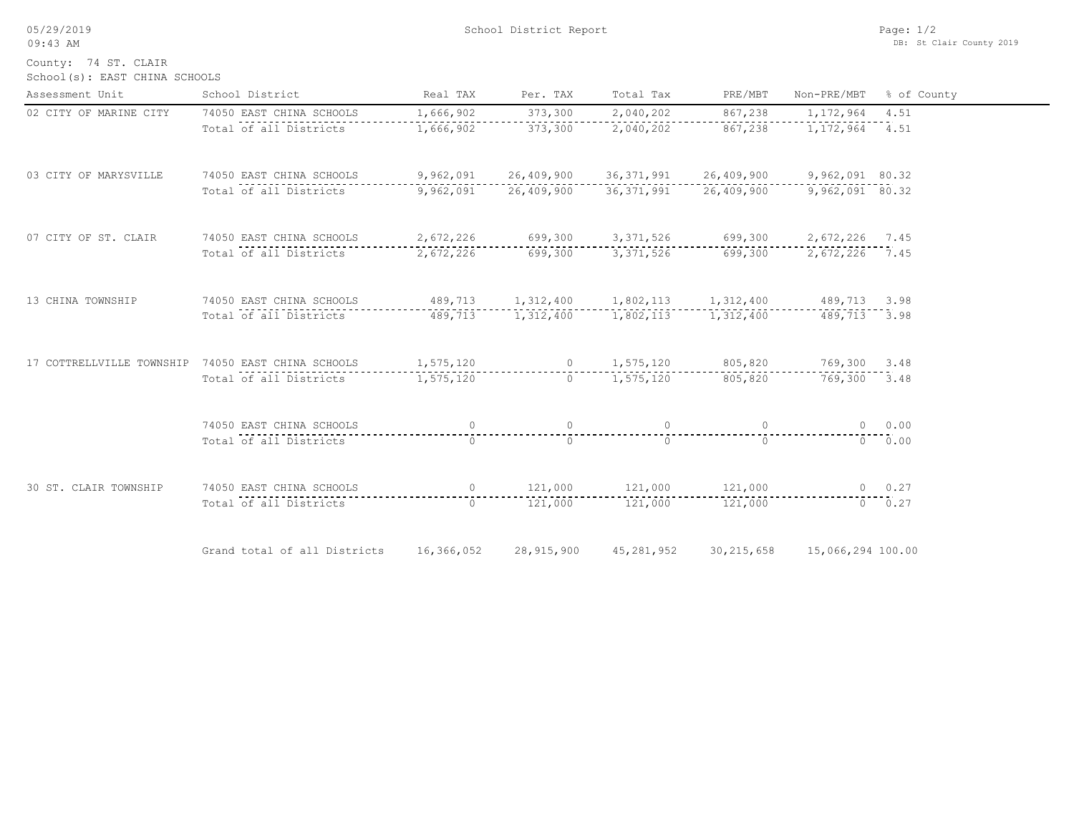05/29/2019

09:43 AM

School District Report

School(s): EAST CHINA SCHOOLS County: 74 ST. CLAIR

| Assessment Unit        | School District                                                                  | Real TAX   | Per. TAX                          | Total Tax                                                       | PRE/MBT           | Non-PRE/MBT % of County                     |             |
|------------------------|----------------------------------------------------------------------------------|------------|-----------------------------------|-----------------------------------------------------------------|-------------------|---------------------------------------------|-------------|
| 02 CITY OF MARINE CITY | 74050 EAST CHINA SCHOOLS                                                         | 1,666,902  | 373,300                           | 2,040,202                                                       | 867,238           | 1,172,964 4.51                              |             |
|                        | Total of all Districts                                                           | 1,666,902  | 373,300                           | 2,040,202                                                       | 867,238           | 1, 172, 964 4.51                            |             |
| 03 CITY OF MARYSVILLE  | 74050 EAST CHINA SCHOOLS                                                         |            |                                   | 9,962,091  26,409,900  36,371,991  26,409,900  9,962,091  80.32 |                   |                                             |             |
|                        | Total of all Districts                                                           | 9,962,091  | 26,409,900                        |                                                                 |                   | 36, 371, 991 26, 409, 900 9, 962, 091 80.32 |             |
| 07 CITY OF ST. CLAIR   | 74050 EAST CHINA SCHOOLS                                                         |            | 2,672,226 699,300                 |                                                                 |                   | 3, 371, 526 699, 300 2, 672, 226 7.45       |             |
|                        | Total of all Districts                                                           | 2,672,226  | 699,300                           |                                                                 | 3,371,526 699,300 | 2,672,226 7.45                              |             |
| 13 CHINA TOWNSHIP      | 74050 EAST CHINA SCHOOLS                                                         |            |                                   | 489,713 1,312,400 1,802,113 1,312,400 489,713 3.98              |                   |                                             |             |
|                        | Total of all Districts                                                           |            | 489,713 1,312,400                 | 1,802,113                                                       | 1,312,400         | 489,713 3.98                                |             |
|                        | 17 COTTRELLVILLE TOWNSHIP 74050 EAST CHINA SCHOOLS 1,575,120 0 1,575,120 805,820 |            |                                   |                                                                 |                   | 769,300 3.48                                |             |
|                        | Total of all Districts                                                           | 1,575,120  | $\cap$                            | 1,575,120                                                       | .<br>805,820      | 769,300 3.48                                |             |
|                        | 74050 EAST CHINA SCHOOLS                                                         | $\Omega$   | $\overline{0}$                    | $\overline{0}$                                                  | $\Omega$          |                                             | 0 0.00      |
|                        | Total of all Districts                                                           | $\Omega$   | $\Omega$                          | $\cap$                                                          | $\bigcap$         |                                             | $0 \t 0.00$ |
| 30 ST. CLAIR TOWNSHIP  | 74050 EAST CHINA SCHOOLS                                                         |            |                                   | 0 $121,000$ $121,000$ $121,000$ $121,000$                       |                   | $0 \t 0.27$                                 |             |
|                        | Total of all Districts                                                           |            | $0 \qquad 121,000 \qquad 121,000$ |                                                                 | 121,000           | $0 \t 0.27$                                 |             |
|                        | Grand total of all Districts                                                     | 16,366,052 | 28,915,900                        | 45,281,952                                                      | 30, 215, 658      | 15,066,294 100.00                           |             |